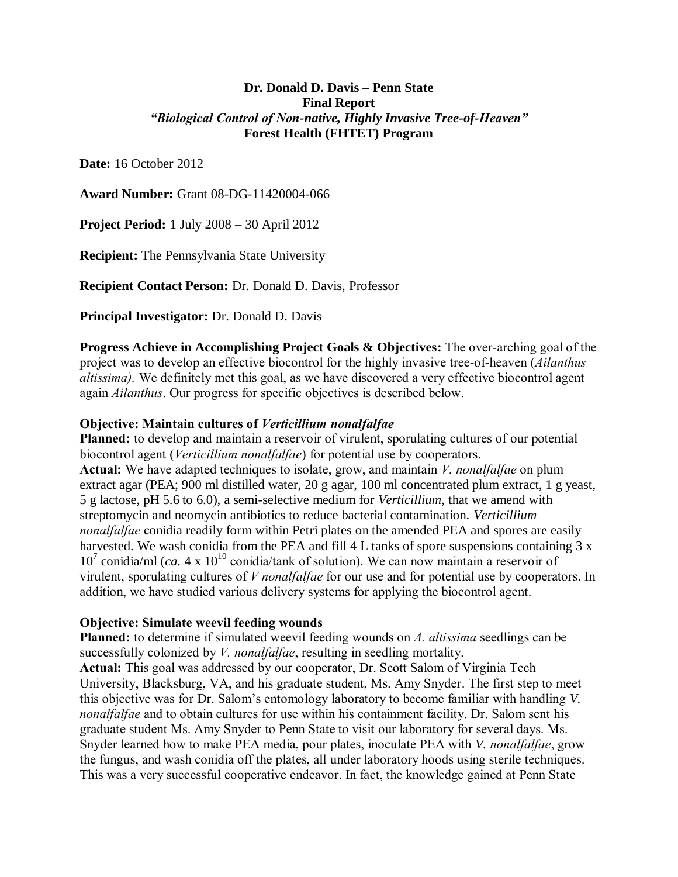## **Dr. Donald D. Davis – Penn State Final Report** *"Biological Control of Non-native, Highly Invasive Tree-of-Heaven"* **Forest Health (FHTET) Program**

**Date:** 16 October 2012

**Award Number:** Grant 08-DG-11420004-066

**Project Period:** 1 July 2008 – 30 April 2012

**Recipient:** The Pennsylvania State University

**Recipient Contact Person:** Dr. Donald D. Davis, Professor

**Principal Investigator:** Dr. Donald D. Davis

**Progress Achieve in Accomplishing Project Goals & Objectives:** The over-arching goal of the project was to develop an effective biocontrol for the highly invasive tree-of-heaven (*Ailanthus altissima).* We definitely met this goal, as we have discovered a very effective biocontrol agent again *Ailanthus*. Our progress for specific objectives is described below.

## **Objective: Maintain cultures of** *Verticillium nonalfalfae*

**Planned:** to develop and maintain a reservoir of virulent, sporulating cultures of our potential biocontrol agent (*Verticillium nonalfalfae*) for potential use by cooperators. **Actual:** We have adapted techniques to isolate, grow, and maintain *V. nonalfalfae* on plum extract agar (PEA; 900 ml distilled water, 20 g agar, 100 ml concentrated plum extract, 1 g yeast, 5 g lactose, pH 5.6 to 6.0), a semi-selective medium for *Verticillium*, that we amend with streptomycin and neomycin antibiotics to reduce bacterial contamination. *Verticillium nonalfalfae* conidia readily form within Petri plates on the amended PEA and spores are easily harvested. We wash conidia from the PEA and fill 4 L tanks of spore suspensions containing 3 x  $10^7$  conidia/ml (*ca.* 4 x  $10^{10}$  conidia/tank of solution). We can now maintain a reservoir of virulent, sporulating cultures of *V nonalfalfae* for our use and for potential use by cooperators. In addition, we have studied various delivery systems for applying the biocontrol agent.

# **Objective: Simulate weevil feeding wounds**

**Planned:** to determine if simulated weevil feeding wounds on *A. altissima* seedlings can be successfully colonized by *V. nonalfalfae*, resulting in seedling mortality. **Actual:** This goal was addressed by our cooperator, Dr. Scott Salom of Virginia Tech University, Blacksburg, VA, and his graduate student, Ms. Amy Snyder. The first step to meet this objective was for Dr. Salom's entomology laboratory to become familiar with handling *V. nonalfalfae* and to obtain cultures for use within his containment facility. Dr. Salom sent his graduate student Ms. Amy Snyder to Penn State to visit our laboratory for several days. Ms. Snyder learned how to make PEA media, pour plates, inoculate PEA with *V. nonalfalfae*, grow the fungus, and wash conidia off the plates, all under laboratory hoods using sterile techniques. This was a very successful cooperative endeavor. In fact, the knowledge gained at Penn State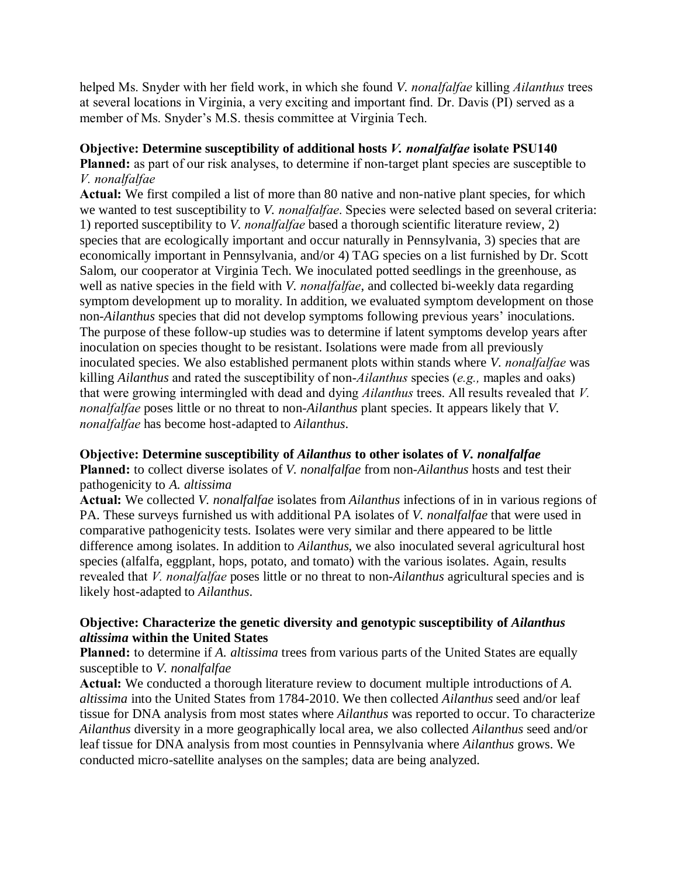helped Ms. Snyder with her field work, in which she found *V. nonalfalfae* killing *Ailanthus* trees at several locations in Virginia, a very exciting and important find. Dr. Davis (PI) served as a member of Ms. Snyder's M.S. thesis committee at Virginia Tech.

# **Objective: Determine susceptibility of additional hosts** *V. nonalfalfae* **isolate PSU140**

**Planned:** as part of our risk analyses, to determine if non-target plant species are susceptible to *V. nonalfalfae*

**Actual:** We first compiled a list of more than 80 native and non-native plant species, for which we wanted to test susceptibility to *V. nonalfalfae*. Species were selected based on several criteria: 1) reported susceptibility to *V. nonalfalfae* based a thorough scientific literature review, 2) species that are ecologically important and occur naturally in Pennsylvania, 3) species that are economically important in Pennsylvania, and/or 4) TAG species on a list furnished by Dr. Scott Salom, our cooperator at Virginia Tech. We inoculated potted seedlings in the greenhouse, as well as native species in the field with *V. nonalfalfae*, and collected bi-weekly data regarding symptom development up to morality. In addition, we evaluated symptom development on those non-*Ailanthus* species that did not develop symptoms following previous years' inoculations. The purpose of these follow-up studies was to determine if latent symptoms develop years after inoculation on species thought to be resistant. Isolations were made from all previously inoculated species. We also established permanent plots within stands where *V. nonalfalfae* was killing *Ailanthus* and rated the susceptibility of non-*Ailanthus* species (*e.g.,* maples and oaks) that were growing intermingled with dead and dying *Ailanthus* trees. All results revealed that *V. nonalfalfae* poses little or no threat to non-*Ailanthus* plant species. It appears likely that *V. nonalfalfae* has become host-adapted to *Ailanthus*.

# **Objective: Determine susceptibility of** *Ailanthus* **to other isolates of** *V. nonalfalfae*

**Planned:** to collect diverse isolates of *V. nonalfalfae* from non-*Ailanthus* hosts and test their pathogenicity to *A. altissima*

**Actual:** We collected *V. nonalfalfae* isolates from *Ailanthus* infections of in in various regions of PA. These surveys furnished us with additional PA isolates of *V. nonalfalfae* that were used in comparative pathogenicity tests. Isolates were very similar and there appeared to be little difference among isolates. In addition to *Ailanthus*, we also inoculated several agricultural host species (alfalfa, eggplant, hops, potato, and tomato) with the various isolates. Again, results revealed that *V. nonalfalfae* poses little or no threat to non-*Ailanthus* agricultural species and is likely host-adapted to *Ailanthus*.

# **Objective: Characterize the genetic diversity and genotypic susceptibility of** *Ailanthus altissima* **within the United States**

**Planned:** to determine if *A. altissima* trees from various parts of the United States are equally susceptible to *V. nonalfalfae*

**Actual:** We conducted a thorough literature review to document multiple introductions of *A. altissima* into the United States from 1784-2010. We then collected *Ailanthus* seed and/or leaf tissue for DNA analysis from most states where *Ailanthus* was reported to occur. To characterize *Ailanthus* diversity in a more geographically local area, we also collected *Ailanthus* seed and/or leaf tissue for DNA analysis from most counties in Pennsylvania where *Ailanthus* grows. We conducted micro-satellite analyses on the samples; data are being analyzed.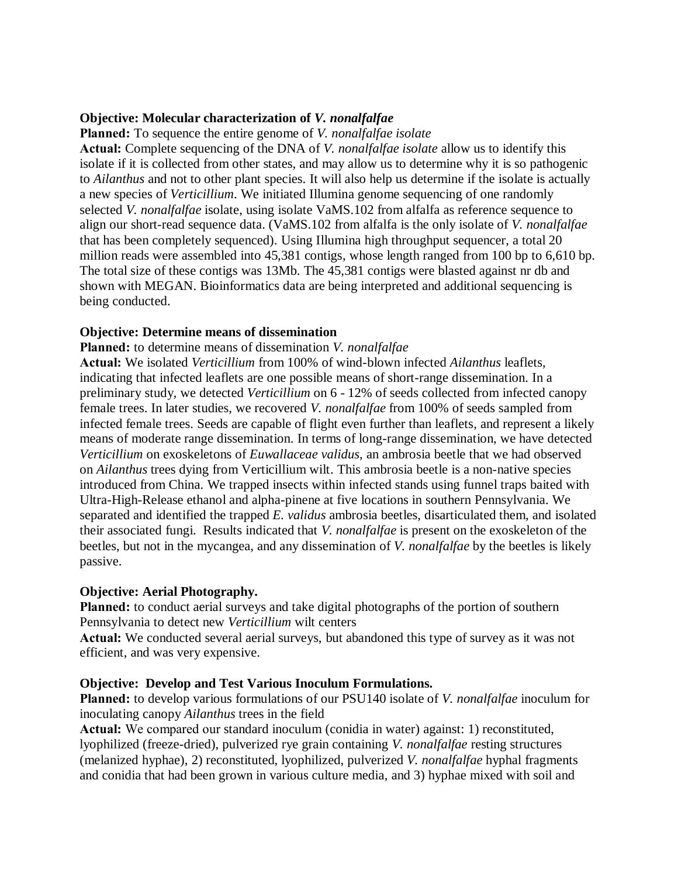#### **Objective: Molecular characterization of** *V. nonalfalfae*

**Planned:** To sequence the entire genome of *V. nonalfalfae isolate* 

**Actual:** Complete sequencing of the DNA of *V. nonalfalfae isolate* allow us to identify this isolate if it is collected from other states, and may allow us to determine why it is so pathogenic to *Ailanthus* and not to other plant species. It will also help us determine if the isolate is actually a new species of *Verticillium*. We initiated Illumina genome sequencing of one randomly selected *V. nonalfalfae* isolate, using isolate VaMS.102 from alfalfa as reference sequence to align our short-read sequence data. (VaMS.102 from alfalfa is the only isolate of *V. nonalfalfae* that has been completely sequenced). Using Illumina high throughput sequencer, a total 20 million reads were assembled into 45,381 contigs, whose length ranged from 100 bp to 6,610 bp. The total size of these contigs was 13Mb. The 45,381 contigs were blasted against nr db and shown with MEGAN. Bioinformatics data are being interpreted and additional sequencing is being conducted.

#### **Objective: Determine means of dissemination**

#### **Planned:** to determine means of dissemination *V. nonalfalfae*

**Actual:** We isolated *Verticillium* from 100% of wind-blown infected *Ailanthus* leaflets, indicating that infected leaflets are one possible means of short-range dissemination. In a preliminary study, we detected *Verticillium* on 6 - 12% of seeds collected from infected canopy female trees. In later studies, we recovered *V. nonalfalfae* from 100% of seeds sampled from infected female trees. Seeds are capable of flight even further than leaflets, and represent a likely means of moderate range dissemination. In terms of long-range dissemination, we have detected *Verticillium* on exoskeletons of *Euwallaceae validus*, an ambrosia beetle that we had observed on *Ailanthus* trees dying from Verticillium wilt. This ambrosia beetle is a non-native species introduced from China. We trapped insects within infected stands using funnel traps baited with Ultra-High-Release ethanol and alpha-pinene at five locations in southern Pennsylvania. We separated and identified the trapped *E. validus* ambrosia beetles, disarticulated them, and isolated their associated fungi. Results indicated that *V. nonalfalfae* is present on the exoskeleton of the beetles, but not in the mycangea, and any dissemination of *V. nonalfalfae* by the beetles is likely passive.

#### **Objective: Aerial Photography.**

**Planned:** to conduct aerial surveys and take digital photographs of the portion of southern Pennsylvania to detect new *Verticillium* wilt centers

**Actual:** We conducted several aerial surveys, but abandoned this type of survey as it was not efficient, and was very expensive.

#### **Objective: Develop and Test Various Inoculum Formulations.**

**Planned:** to develop various formulations of our PSU140 isolate of *V. nonalfalfae* inoculum for inoculating canopy *Ailanthus* trees in the field

**Actual:** We compared our standard inoculum (conidia in water) against: 1) reconstituted, lyophilized (freeze-dried), pulverized rye grain containing *V. nonalfalfae* resting structures (melanized hyphae), 2) reconstituted, lyophilized, pulverized *V. nonalfalfae* hyphal fragments and conidia that had been grown in various culture media, and 3) hyphae mixed with soil and